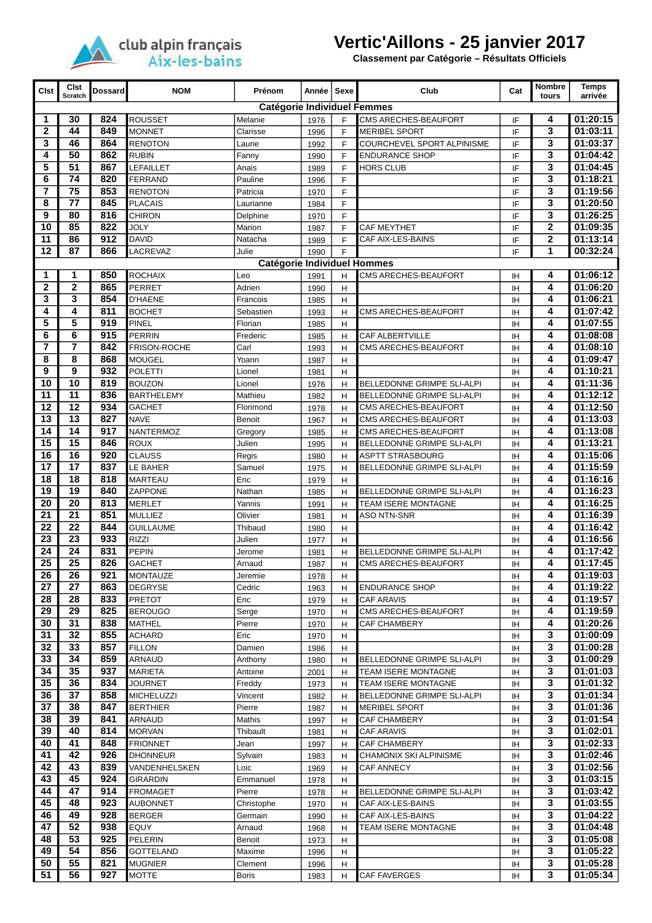

## **Vertic'Aillons - 25 janvier 2017**

**Classement par Catégorie – Résultats Officiels**

| <b>Clst</b>                        | Cist<br><b>Scratch</b>             | <b>Dossard</b> | <b>NOM</b>                       | Prénom              | Année        | Sexe   | Club                                                     | Cat             | <b>Nombre</b><br>tours | <b>Temps</b><br>arrivée |  |
|------------------------------------|------------------------------------|----------------|----------------------------------|---------------------|--------------|--------|----------------------------------------------------------|-----------------|------------------------|-------------------------|--|
|                                    | <b>Catégorie Individuel Femmes</b> |                |                                  |                     |              |        |                                                          |                 |                        |                         |  |
| 1                                  | 30                                 | 824            | ROUSSET                          | Melanie             | 1976         | F      | CMS ARECHES-BEAUFORT                                     | IF              | 4                      | 01:20:15                |  |
| $\mathbf{2}$                       | 44                                 | 849            | MONNET                           | Clarisse            | 1996         | F      | <b>MERIBEL SPORT</b>                                     | IF              | 3                      | 01:03:11                |  |
| 3                                  | 46                                 | 864            | <b>RENOTON</b>                   | Laurie              | 1992         | F      | COURCHEVEL SPORT ALPINISME                               | IF              | 3                      | 01:03:37                |  |
| 4                                  | 50                                 | 862            | <b>RUBIN</b>                     | Fanny               | 1990         | F      | <b>ENDURANCE SHOP</b>                                    | IF              | 3                      | 01:04:42                |  |
| 5<br>6                             | $\overline{51}$<br>74              | 867            | LEFAILLET                        | Anais               | 1989         | F      | <b>HORS CLUB</b>                                         | IF              | 3<br>3                 | 01:04:45                |  |
| $\overline{7}$                     | $\overline{75}$                    | 820<br>853     | <b>FERRAND</b><br><b>RENOTON</b> | Pauline<br>Patricia | 1996         | F<br>F |                                                          | IF<br>IF        | 3                      | 01:18:21<br>01:19:56    |  |
| 8                                  | 77                                 | 845            | PLACAIS                          | Laurianne           | 1970<br>1984 | F      |                                                          | IF              | 3                      | 01:20:50                |  |
| 9                                  | 80                                 | 816            | <b>CHIRON</b>                    | Delphine            | 1970         | F      |                                                          | IF              | 3                      | 01:26:25                |  |
| 10                                 | 85                                 | 822            | JOLY                             | Marion              | 1987         | F      | <b>CAF MEYTHET</b>                                       | IF              | 2                      | 01:09:35                |  |
| 11                                 | 86                                 | 912            | <b>DAVID</b>                     | Natacha             | 1989         | F      | CAF AIX-LES-BAINS                                        | IF              | 2                      | 01:13:14                |  |
| 12                                 | 87                                 | 866            | LACREVAZ                         | Julie               | 1990         | F      |                                                          | IF              | 1                      | 00:32:24                |  |
| <b>Catégorie Individuel Hommes</b> |                                    |                |                                  |                     |              |        |                                                          |                 |                        |                         |  |
| 1                                  | 1                                  | 850            | <b>ROCHAIX</b>                   | Leo                 | 1991         | н      | CMS ARECHES-BEAUFORT                                     | ΙH              | 4                      | 01:06:12                |  |
| $\mathbf{2}$                       | $\mathbf{2}$                       | 865            | <b>PERRET</b>                    | Adrien              | 1990         | H      |                                                          | <b>IH</b>       | 4                      | 01:06:20                |  |
| 3                                  | 3                                  | 854            | <b>D'HAENE</b>                   | Francois            | 1985         | Η      |                                                          | <b>IH</b>       | 4                      | 01:06:21                |  |
| 4                                  | 4                                  | 811            | <b>BOCHET</b>                    | Sebastien           | 1993         | H      | CMS ARECHES-BEAUFORT                                     | IH              | 4                      | 01:07:42                |  |
| 5                                  | 5                                  | 919            | PINEL                            | Florian             | 1985         | H      |                                                          | IH              | 4                      | 01:07:55                |  |
| 6                                  | 6                                  | 915            | PERRIN                           | Frederic            | 1985         | H      | CAF ALBERTVILLE                                          | ΙH              | 4                      | 01:08:08                |  |
| 7<br>8                             | 7<br>8                             | 842<br>868     | FRISON-ROCHE<br>MOUGEL           | Carl<br>Yoann       | 1993         | H      | CMS ARECHES-BEAUFORT                                     | <b>IH</b>       | 4<br>4                 | 01:08:10<br>01:09:47    |  |
| 9                                  | 9                                  | 932            | <b>POLETTI</b>                   | Lionel              | 1987<br>1981 | Η<br>H |                                                          | <b>IH</b><br>IH | 4                      | 01:10:21                |  |
| 10                                 | 10                                 | 819            | <b>BOUZON</b>                    | Lionel              | 1976         | H      | BELLEDONNE GRIMPE SLI-ALPI                               | <b>IH</b>       | 4                      | 01:11:36                |  |
| 11                                 | $\overline{11}$                    | 836            | <b>BARTHELEMY</b>                | Mathieu             | 1982         | H      | BELLEDONNE GRIMPE SLI-ALPI                               | <b>IH</b>       | 4                      | 01:12:12                |  |
| 12                                 | $\overline{12}$                    | 934            | <b>GACHET</b>                    | Florimond           | 1978         | H      | CMS ARECHES-BEAUFORT                                     | <b>IH</b>       | 4                      | 01:12:50                |  |
| 13                                 | $\overline{13}$                    | 827            | <b>NAVE</b>                      | Benoit              | 1967         | H      | CMS ARECHES-BEAUFORT                                     | <b>IH</b>       | 4                      | 01:13:03                |  |
| 14                                 | 14                                 | 917            | <b>NANTERMOZ</b>                 | Gregory             | 1985         | H      | CMS ARECHES-BEAUFORT                                     | IH              | 4                      | 01:13:08                |  |
| 15                                 | 15                                 | 846            | ROUX                             | Julien              | 1995         | Η      | BELLEDONNE GRIMPE SLI-ALPI                               | <b>IH</b>       | 4                      | 01:13:21                |  |
| 16                                 | 16                                 | 920            | <b>CLAUSS</b>                    | Regis               | 1980         | H      | ASPTT STRASBOURG                                         | IH              | 4                      | 01:15:06                |  |
| 17                                 | $\overline{17}$                    | 837            | LE BAHER                         | Samuel              | 1975         | H      | BELLEDONNE GRIMPE SLI-ALPI                               | <b>IH</b>       | 4                      | 01:15:59                |  |
| 18                                 | 18                                 | 818            | <b>MARTEAU</b>                   | Eric                | 1979         | н      |                                                          | <b>IH</b>       | 4                      | 01:16:16                |  |
| 19                                 | 19                                 | 840            | <b>ZAPPONE</b>                   | Nathan              | 1985         | H      | BELLEDONNE GRIMPE SLI-ALPI                               | <b>IH</b>       | 4                      | 01:16:23                |  |
| 20                                 | 20                                 | 813            | MERLET                           | Yannis              | 1991         | H      | <b>TEAM ISERE MONTAGNE</b>                               | <b>IH</b>       | 4                      | 01:16:25                |  |
| 21<br>22                           | 21<br>$\overline{22}$              | 851<br>844     | <b>MULLIEZ</b>                   | Olivier<br>Thibaud  | 1981         | H      | ASO NTN-SNR                                              | IH              | 4<br>4                 | 01:16:39<br>01:16:42    |  |
| 23                                 | 23                                 | 933            | <b>GUILLAUME</b><br><b>RIZZI</b> | Julien              | 1980<br>1977 | H<br>н |                                                          | ΙH<br><b>IH</b> | 4                      | 01:16:56                |  |
| 24                                 | 24                                 | 831            | <b>PEPIN</b>                     | Jerome              | 1981         | н      | BELLEDONNE GRIMPE SLI-ALPI                               | ΙH              | 4                      | 01:17:42                |  |
| $\overline{25}$                    | 25                                 | 826            | <b>GACHET</b>                    | Arnaud              | 1987         | H      | CMS ARECHES-BEAUFORT                                     | <b>IH</b>       | 4                      | 01:17:45                |  |
| 26                                 | 26                                 | 921            | <b>MONTAUZE</b>                  | Jeremie             | 1978         | H      |                                                          | ΙH              | 4                      | 01:19:03                |  |
| 27                                 | 27                                 | 863            | <b>DEGRYSE</b>                   | Cedric              | 1963         | н      | <b>ENDURANCE SHOP</b>                                    | ΙH              | 4                      | 01:19:22                |  |
| 28                                 | 28                                 | 833            | <b>PRETOT</b>                    | Eric                | 1979         | н      | <b>CAF ARAVIS</b>                                        | ΙH              | 4                      | 01:19:57                |  |
| 29                                 | 29                                 | 825            | <b>BEROUGO</b>                   | Serge               | 1970         | н      | CMS ARECHES-BEAUFORT                                     | ΙH              | 4                      | 01:19:59                |  |
| 30                                 | 31                                 | 838            | <b>MATHEL</b>                    | Pierre              | 1970         | н      | CAF CHAMBERY                                             | <b>IH</b>       | 4                      | 01:20:26                |  |
| 31                                 | 32                                 | 855            | <b>ACHARD</b>                    | Eric                | 1970         | н      |                                                          | ΙH              | 3                      | 01:00:09                |  |
| 32                                 | 33                                 | 857            | <b>FILLON</b>                    | Damien              | 1986         | н      |                                                          | ΙH              | 3                      | 01:00:28                |  |
| 33                                 | 34                                 | 859            | ARNAUD                           | Anthony             | 1980         | н      | BELLEDONNE GRIMPE SLI-ALPI                               | ΙH              | 3                      | 01:00:29                |  |
| 34<br>35                           | 35<br>36                           | 937<br>834     | <b>MARIETA</b>                   | Antoine             | 2001         | н      | TEAM ISERE MONTAGNE                                      | ΙH              | 3<br>3                 | 01:01:03<br>01:01:32    |  |
| 36                                 | 37                                 | 858            | JOURNET<br>MICHELUZZI            | Freddy<br>Vincent   | 1973<br>1982 | н<br>н | TEAM ISERE MONTAGNE<br><b>BELLEDONNE GRIMPE SLI-ALPI</b> | ΙH<br>ΙH        | 3                      | 01:01:34                |  |
| 37                                 | 38                                 | 847            | <b>BERTHIER</b>                  | Pierre              | 1987         | н      | <b>MERIBEL SPORT</b>                                     | IH              | 3                      | 01:01:36                |  |
| 38                                 | 39                                 | 841            | ARNAUD                           | Mathis              | 1997         | н      | CAF CHAMBERY                                             | ΙH              | 3                      | 01:01:54                |  |
| 39                                 | 40                                 | 814            | <b>MORVAN</b>                    | Thibault            | 1981         | н      | <b>CAF ARAVIS</b>                                        | ΙH              | 3                      | 01:02:01                |  |
| 40                                 | 41                                 | 848            | <b>FRIONNET</b>                  | Jean                | 1997         | н      | CAF CHAMBERY                                             | ΙH              | 3                      | 01:02:33                |  |
| 41                                 | 42                                 | 926            | <b>DHONNEUR</b>                  | Sylvain             | 1983         | н      | CHAMONIX SKI ALPINISME                                   | ΙH              | 3                      | 01:02:46                |  |
| 42                                 | 43                                 | 839            | VANDENHELSKEN                    | Loic                | 1969         | н      | <b>CAF ANNECY</b>                                        | IH              | 3                      | 01:02:56                |  |
| 43                                 | 45                                 | 924            | <b>GIRARDIN</b>                  | Emmanuel            | 1978         | н      |                                                          | ΙH              | 3                      | 01:03:15                |  |
| 44                                 | 47                                 | 914            | <b>FROMAGET</b>                  | Pierre              | 1978         | н      | BELLEDONNE GRIMPE SLI-ALPI                               | ΙH              | 3                      | 01:03:42                |  |
| 45                                 | 48                                 | 923            | <b>AUBONNET</b>                  | Christophe          | 1970         | н      | CAF AIX-LES-BAINS                                        | ΙH              | 3                      | 01:03:55                |  |
| 46<br>47                           | 49<br>52                           | 928            | <b>BERGER</b>                    | Germain             | 1990         | н      | CAF AIX-LES-BAINS                                        | ΙH              | 3<br>3                 | 01:04:22                |  |
| 48                                 | 53                                 | 938<br>925     | EQUY<br>PELERIN                  | Arnaud<br>Benoit    | 1968         | н      | TEAM ISERE MONTAGNE                                      | ΙH              | 3                      | 01:04:48<br>01:05:08    |  |
| 49                                 | 54                                 | 856            | <b>GOTTELAND</b>                 | Maxime              | 1973<br>1996 | н<br>н |                                                          | ΙH<br>ΙH        | 3                      | 01:05:22                |  |
| 50                                 | 55                                 | 821            | <b>MUGNIER</b>                   | Clement             | 1996         | н      |                                                          | ΙH              | 3                      | 01:05:28                |  |
| 51                                 | 56                                 | 927            | MOTTE                            | Boris               | 1983         | н      | CAF FAVERGES                                             | ΙH              | 3                      | 01:05:34                |  |